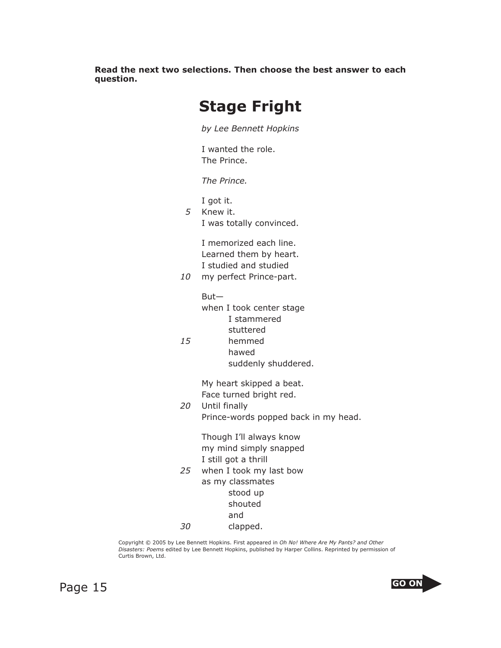**Read the next two selections. Then choose the best answer to each question.**

## **Stage Fright**

*by Lee Bennett Hopkins*

I wanted the role. The Prince.

*The Prince.*

I got it.

*5* Knew it. I was totally convinced.

> I memorized each line. Learned them by heart. I studied and studied

*10* my perfect Prince-part.

But when I took center stage I stammered stuttered

*15* hemmed hawed suddenly shuddered.

> My heart skipped a beat. Face turned bright red.

20 Until finally Prince-words popped back in my head.

> Though I'll always know my mind simply snapped I still got a thrill

25 when I took my last bow as my classmates stood up shouted and 30 clapped.

Copyright © 2005 by Lee Bennett Hopkins. First appeared in *Oh No! Where Are My Pants? and Other Disasters: Poems* edited by Lee Bennett Hopkins, published by Harper Collins. Reprinted by permission of Curtis Brown, Ltd.



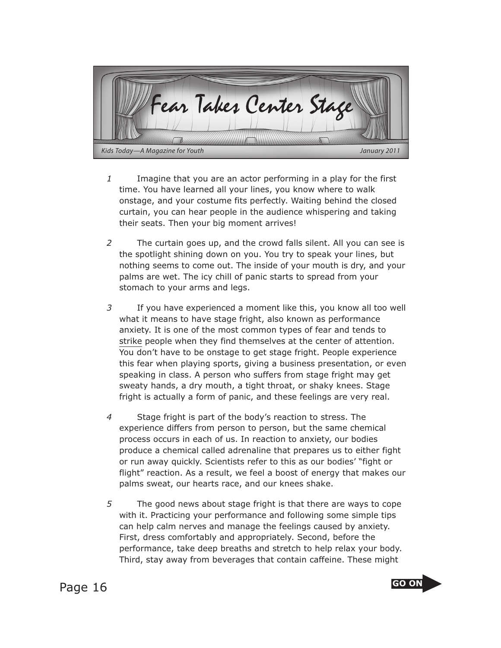Fear Takes Center Stage *Kids Today—A Magazine for Youth January 2011*

- *1* Imagine that you are an actor performing in a play for the first time. You have learned all your lines, you know where to walk onstage, and your costume fits perfectly. Waiting behind the closed curtain, you can hear people in the audience whispering and taking their seats. Then your big moment arrives!
- *2* The curtain goes up, and the crowd falls silent. All you can see is the spotlight shining down on you. You try to speak your lines, but nothing seems to come out. The inside of your mouth is dry, and your palms are wet. The icy chill of panic starts to spread from your stomach to your arms and legs.
- *3* If you have experienced a moment like this, you know all too well what it means to have stage fright, also known as performance anxiety. It is one of the most common types of fear and tends to strike people when they find themselves at the center of attention. You don't have to be onstage to get stage fright. People experience this fear when playing sports, giving a business presentation, or even speaking in class. A person who suffers from stage fright may get sweaty hands, a dry mouth, a tight throat, or shaky knees. Stage fright is actually a form of panic, and these feelings are very real.
- *4* Stage fright is part of the body's reaction to stress. The experience differs from person to person, but the same chemical process occurs in each of us. In reaction to anxiety, our bodies produce a chemical called adrenaline that prepares us to either fight or run away quickly. Scientists refer to this as our bodies' "fight or flight" reaction. As a result, we feel a boost of energy that makes our palms sweat, our hearts race, and our knees shake.
- *5* The good news about stage fright is that there are ways to cope with it. Practicing your performance and following some simple tips can help calm nerves and manage the feelings caused by anxiety. First, dress comfortably and appropriately. Second, before the performance, take deep breaths and stretch to help relax your body. Third, stay away from beverages that contain caffeine. These might

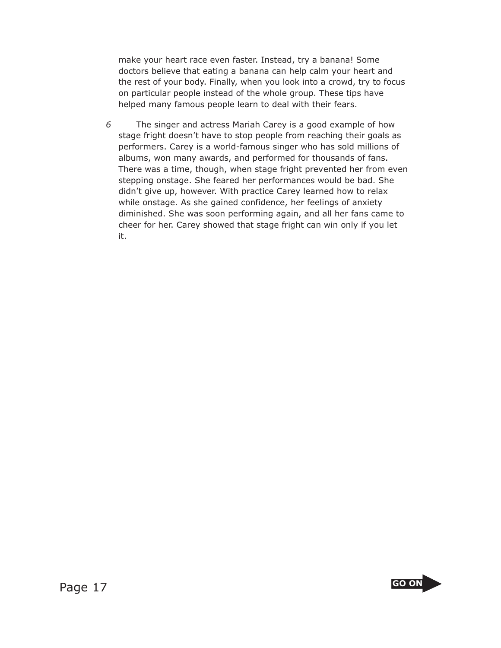make your heart race even faster. Instead, try a banana! Some doctors believe that eating a banana can help calm your heart and the rest of your body. Finally, when you look into a crowd, try to focus on particular people instead of the whole group. These tips have helped many famous people learn to deal with their fears.

*6* The singer and actress Mariah Carey is a good example of how stage fright doesn't have to stop people from reaching their goals as performers. Carey is a world-famous singer who has sold millions of albums, won many awards, and performed for thousands of fans. There was a time, though, when stage fright prevented her from even stepping onstage. She feared her performances would be bad. She didn't give up, however. With practice Carey learned how to relax while onstage. As she gained confidence, her feelings of anxiety diminished. She was soon performing again, and all her fans came to cheer for her. Carey showed that stage fright can win only if you let it.

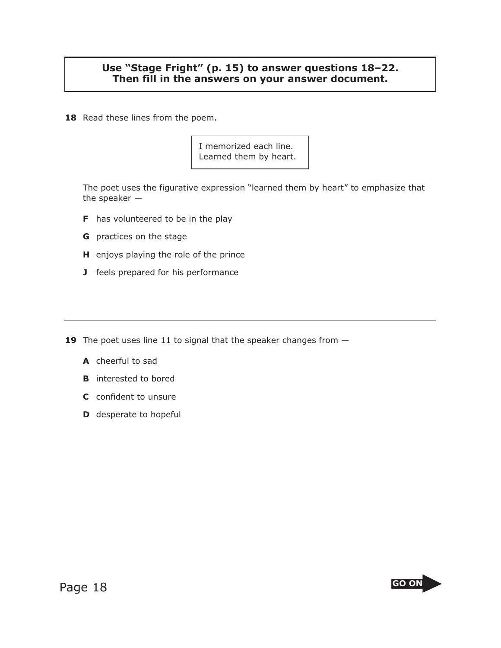## Use "Stage Fright" (p. 15) to answer questions 18-22. **Then fill in the answers on your answer document.**

18 Read these lines from the poem.

I memorized each line. Learned them by heart.

The poet uses the figurative expression "learned them by heart" to emphasize that the speaker —

- **F** has volunteered to be in the play
- **G** practices on the stage
- **H** enjoys playing the role of the prince
- **J** feels prepared for his performance

**19** The poet uses line 11 to signal that the speaker changes from  $-$ 

- **A** cheerful to sad
- **B** interested to bored
- **C** confident to unsure
- **D** desperate to hopeful

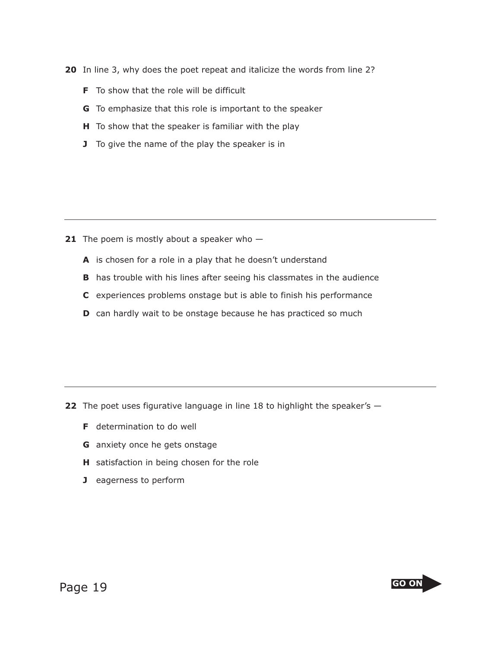- **2 0** In line 3, why does the poet repeat and italicize the words from line 2?
	- **F** To show that the role will be difficult
	- **G** To emphasize that this role is important to the speaker
	- **H** To show that the speaker is familiar with the play
	- **J** To give the name of the play the speaker is in

- **21** The poem is mostly about a speaker who -
	- **A** is chosen for a role in a play that he doesn't understand
	- **B** has trouble with his lines after seeing his classmates in the audience
	- **C** experiences problems onstage but is able to finish his performance
	- **D** can hardly wait to be onstage because he has practiced so much

**22** The poet uses figurative language in line 18 to highlight the speaker's  $-$ 

- **F** determination to do well
- **G** anxiety once he gets onstage
- **H** satisfaction in being chosen for the role
- **J** eagerness to perform

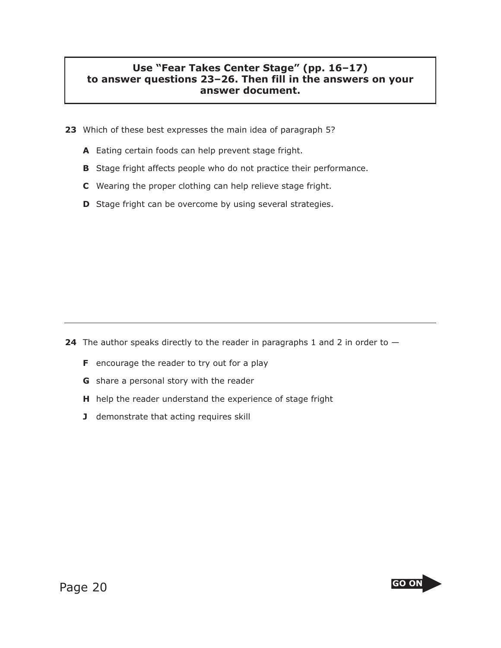## Use "Fear Takes Center Stage" (pp. 16-17) to answer questions 23-26. Then fill in the answers on your **answer document.**

- **23** Which of these best expresses the main idea of paragraph 5?
	- **A** Eating certain foods can help prevent stage fright.
	- **B** Stage fright affects people who do not practice their performance.
	- **C** Wearing the proper clothing can help relieve stage fright.
	- **D** Stage fright can be overcome by using several strategies.

**24** The author speaks directly to the reader in paragraphs 1 and 2 in order to  $-$ 

- **F** encourage the reader to try out for a play
- **G** share a personal story with the reader
- **H** help the reader understand the experience of stage fright
- **J** demonstrate that acting requires skill

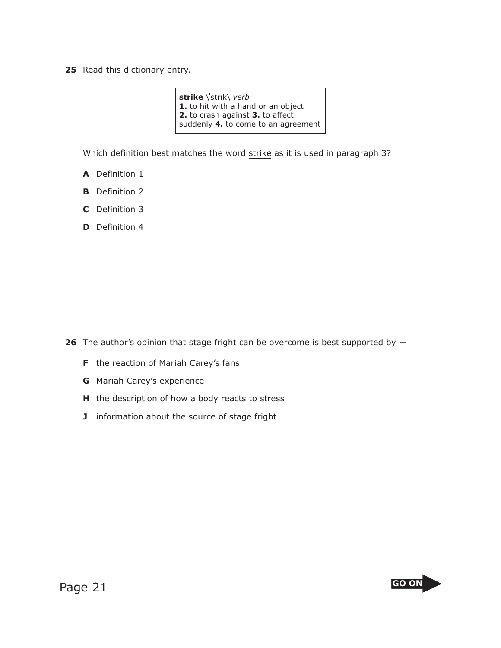**25** Read this dictionary entry.

**strike** \**<sup>ı</sup>** strık\ *verb* **1.** to hit with a hand or an object **2.** to crash against **3.** to affect suddenly **4.** to come to an agreement

Which definition best matches the word strike as it is used in paragraph 3?

- **A** Definition 1
- **B** Definition 2
- **C** Definition 3
- **D** Definition 4

**26** The author's opinion that stage fright can be overcome is best supported by  $-$ 

- **F** the reaction of Mariah Carey's fans
- **G** Mariah Carey's experience
- **H** the description of how a body reacts to stress
- **J** information about the source of stage fright

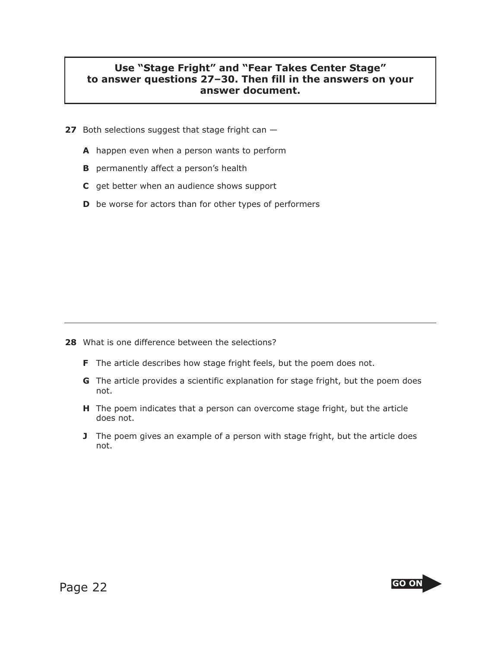## **Use "Stage Fright" and "Fear Takes Center Stage"** to answer questions 27-30. Then fill in the answers on your **answer document.**

- **27** Both selections suggest that stage fright can  $-$ 
	- **A** happen even when a person wants to perform
	- **B** permanently affect a person's health
	- **C** get better when an audience shows support
	- **D** be worse for actors than for other types of performers

- **28** What is one difference between the selections?
	- **F** The article describes how stage fright feels, but the poem does not.
	- **G** The article provides a scientific explanation for stage fright, but the poem does not.
	- **H** The poem indicates that a person can overcome stage fright, but the article does not.
	- **J** The poem gives an example of a person with stage fright, but the article does not.